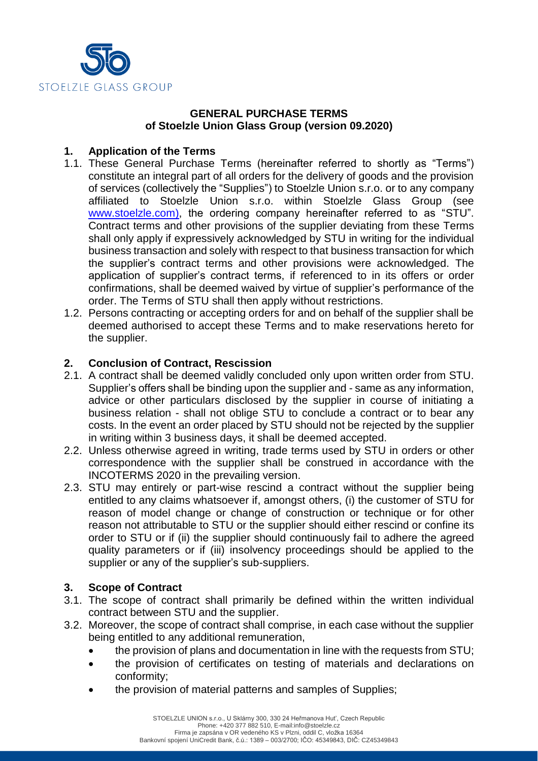

## **GENERAL PURCHASE TERMS of Stoelzle Union Glass Group (version 09.2020)**

# **1. Application of the Terms**

- 1.1. These General Purchase Terms (hereinafter referred to shortly as "Terms") constitute an integral part of all orders for the delivery of goods and the provision of services (collectively the "Supplies") to Stoelzle Union s.r.o. or to any company affiliated to Stoelzle Union s.r.o. within Stoelzle Glass Group (see [www.stoelzle.com\)](http://www.stoelzle.com/), the ordering company hereinafter referred to as "STU". Contract terms and other provisions of the supplier deviating from these Terms shall only apply if expressively acknowledged by STU in writing for the individual business transaction and solely with respect to that business transaction for which the supplier's contract terms and other provisions were acknowledged. The application of supplier's contract terms, if referenced to in its offers or order confirmations, shall be deemed waived by virtue of supplier's performance of the order. The Terms of STU shall then apply without restrictions.
- 1.2. Persons contracting or accepting orders for and on behalf of the supplier shall be deemed authorised to accept these Terms and to make reservations hereto for the supplier.

### **2. Conclusion of Contract, Rescission**

- 2.1. A contract shall be deemed validly concluded only upon written order from STU. Supplier's offers shall be binding upon the supplier and - same as any information, advice or other particulars disclosed by the supplier in course of initiating a business relation - shall not oblige STU to conclude a contract or to bear any costs. In the event an order placed by STU should not be rejected by the supplier in writing within 3 business days, it shall be deemed accepted.
- 2.2. Unless otherwise agreed in writing, trade terms used by STU in orders or other correspondence with the supplier shall be construed in accordance with the INCOTERMS 2020 in the prevailing version.
- 2.3. STU may entirely or part-wise rescind a contract without the supplier being entitled to any claims whatsoever if, amongst others, (i) the customer of STU for reason of model change or change of construction or technique or for other reason not attributable to STU or the supplier should either rescind or confine its order to STU or if (ii) the supplier should continuously fail to adhere the agreed quality parameters or if (iii) insolvency proceedings should be applied to the supplier or any of the supplier's sub-suppliers.

### **3. Scope of Contract**

- 3.1. The scope of contract shall primarily be defined within the written individual contract between STU and the supplier.
- 3.2. Moreover, the scope of contract shall comprise, in each case without the supplier being entitled to any additional remuneration,
	- the provision of plans and documentation in line with the requests from STU;
	- the provision of certificates on testing of materials and declarations on conformity;
	- the provision of material patterns and samples of Supplies;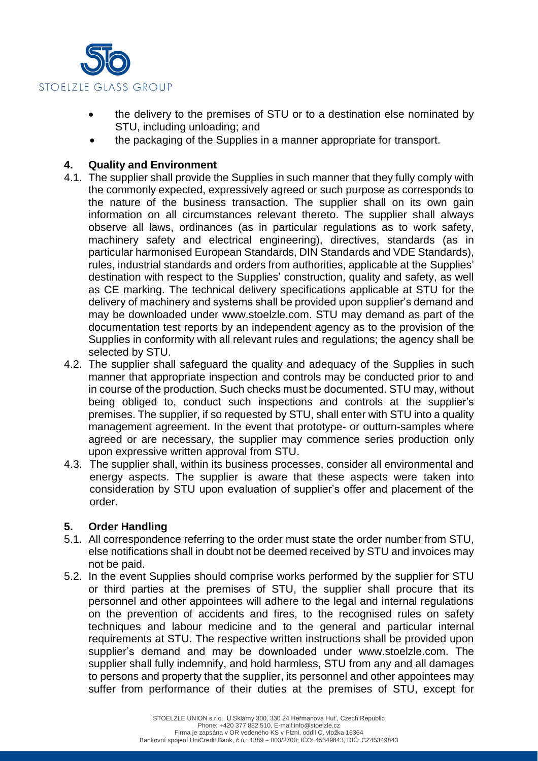

- the delivery to the premises of STU or to a destination else nominated by STU, including unloading; and
- the packaging of the Supplies in a manner appropriate for transport.

### **4. Quality and Environment**

- 4.1. The supplier shall provide the Supplies in such manner that they fully comply with the commonly expected, expressively agreed or such purpose as corresponds to the nature of the business transaction. The supplier shall on its own gain information on all circumstances relevant thereto. The supplier shall always observe all laws, ordinances (as in particular regulations as to work safety, machinery safety and electrical engineering), directives, standards (as in particular harmonised European Standards, DIN Standards and VDE Standards), rules, industrial standards and orders from authorities, applicable at the Supplies' destination with respect to the Supplies' construction, quality and safety, as well as CE marking. The technical delivery specifications applicable at STU for the delivery of machinery and systems shall be provided upon supplier's demand and may be downloaded under www.stoelzle.com. STU may demand as part of the documentation test reports by an independent agency as to the provision of the Supplies in conformity with all relevant rules and regulations; the agency shall be selected by STU.
- 4.2. The supplier shall safeguard the quality and adequacy of the Supplies in such manner that appropriate inspection and controls may be conducted prior to and in course of the production. Such checks must be documented. STU may, without being obliged to, conduct such inspections and controls at the supplier's premises. The supplier, if so requested by STU, shall enter with STU into a quality management agreement. In the event that prototype- or outturn-samples where agreed or are necessary, the supplier may commence series production only upon expressive written approval from STU.
- 4.3. The supplier shall, within its business processes, consider all environmental and energy aspects. The supplier is aware that these aspects were taken into consideration by STU upon evaluation of supplier's offer and placement of the order.

### **5. Order Handling**

- 5.1. All correspondence referring to the order must state the order number from STU, else notifications shall in doubt not be deemed received by STU and invoices may not be paid.
- 5.2. In the event Supplies should comprise works performed by the supplier for STU or third parties at the premises of STU, the supplier shall procure that its personnel and other appointees will adhere to the legal and internal regulations on the prevention of accidents and fires, to the recognised rules on safety techniques and labour medicine and to the general and particular internal requirements at STU. The respective written instructions shall be provided upon supplier's demand and may be downloaded under www.stoelzle.com. The supplier shall fully indemnify, and hold harmless, STU from any and all damages to persons and property that the supplier, its personnel and other appointees may suffer from performance of their duties at the premises of STU, except for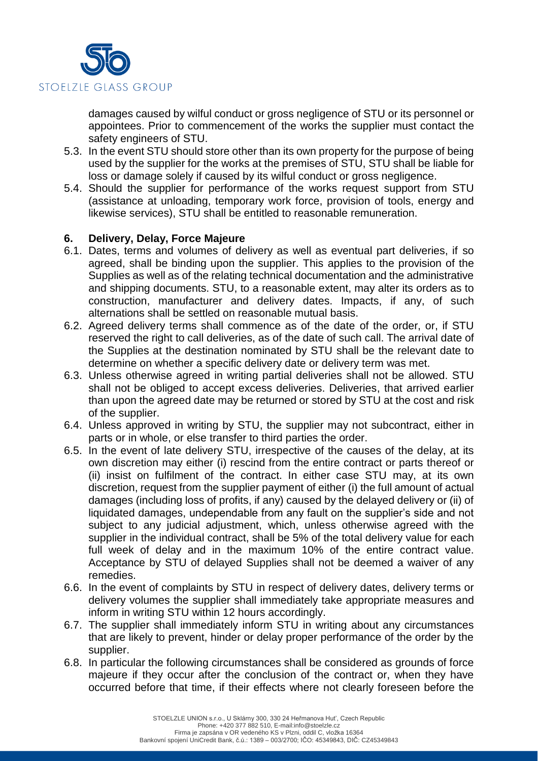

damages caused by wilful conduct or gross negligence of STU or its personnel or appointees. Prior to commencement of the works the supplier must contact the safety engineers of STU.

- 5.3. In the event STU should store other than its own property for the purpose of being used by the supplier for the works at the premises of STU, STU shall be liable for loss or damage solely if caused by its wilful conduct or gross negligence.
- 5.4. Should the supplier for performance of the works request support from STU (assistance at unloading, temporary work force, provision of tools, energy and likewise services), STU shall be entitled to reasonable remuneration.

### **6. Delivery, Delay, Force Majeure**

- 6.1. Dates, terms and volumes of delivery as well as eventual part deliveries, if so agreed, shall be binding upon the supplier. This applies to the provision of the Supplies as well as of the relating technical documentation and the administrative and shipping documents. STU, to a reasonable extent, may alter its orders as to construction, manufacturer and delivery dates. Impacts, if any, of such alternations shall be settled on reasonable mutual basis.
- 6.2. Agreed delivery terms shall commence as of the date of the order, or, if STU reserved the right to call deliveries, as of the date of such call. The arrival date of the Supplies at the destination nominated by STU shall be the relevant date to determine on whether a specific delivery date or delivery term was met.
- 6.3. Unless otherwise agreed in writing partial deliveries shall not be allowed. STU shall not be obliged to accept excess deliveries. Deliveries, that arrived earlier than upon the agreed date may be returned or stored by STU at the cost and risk of the supplier.
- 6.4. Unless approved in writing by STU, the supplier may not subcontract, either in parts or in whole, or else transfer to third parties the order.
- 6.5. In the event of late delivery STU, irrespective of the causes of the delay, at its own discretion may either (i) rescind from the entire contract or parts thereof or (ii) insist on fulfilment of the contract. In either case STU may, at its own discretion, request from the supplier payment of either (i) the full amount of actual damages (including loss of profits, if any) caused by the delayed delivery or (ii) of liquidated damages, undependable from any fault on the supplier's side and not subject to any judicial adjustment, which, unless otherwise agreed with the supplier in the individual contract, shall be 5% of the total delivery value for each full week of delay and in the maximum 10% of the entire contract value. Acceptance by STU of delayed Supplies shall not be deemed a waiver of any remedies.
- 6.6. In the event of complaints by STU in respect of delivery dates, delivery terms or delivery volumes the supplier shall immediately take appropriate measures and inform in writing STU within 12 hours accordingly.
- 6.7. The supplier shall immediately inform STU in writing about any circumstances that are likely to prevent, hinder or delay proper performance of the order by the supplier.
- 6.8. In particular the following circumstances shall be considered as grounds of force majeure if they occur after the conclusion of the contract or, when they have occurred before that time, if their effects where not clearly foreseen before the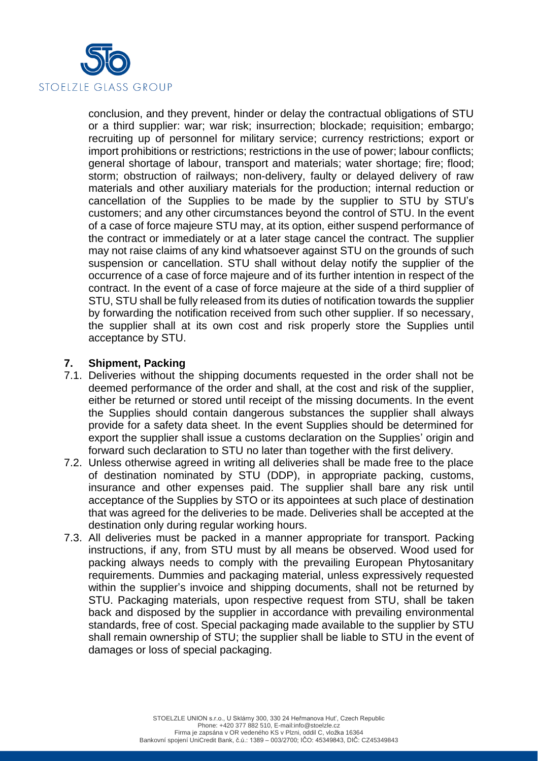

conclusion, and they prevent, hinder or delay the contractual obligations of STU or a third supplier: war; war risk; insurrection; blockade; requisition; embargo; recruiting up of personnel for military service; currency restrictions; export or import prohibitions or restrictions; restrictions in the use of power; labour conflicts; general shortage of labour, transport and materials; water shortage; fire; flood; storm; obstruction of railways; non-delivery, faulty or delayed delivery of raw materials and other auxiliary materials for the production; internal reduction or cancellation of the Supplies to be made by the supplier to STU by STU's customers; and any other circumstances beyond the control of STU. In the event of a case of force majeure STU may, at its option, either suspend performance of the contract or immediately or at a later stage cancel the contract. The supplier may not raise claims of any kind whatsoever against STU on the grounds of such suspension or cancellation. STU shall without delay notify the supplier of the occurrence of a case of force majeure and of its further intention in respect of the contract. In the event of a case of force majeure at the side of a third supplier of STU, STU shall be fully released from its duties of notification towards the supplier by forwarding the notification received from such other supplier. If so necessary, the supplier shall at its own cost and risk properly store the Supplies until acceptance by STU.

# **7. Shipment, Packing**

- 7.1. Deliveries without the shipping documents requested in the order shall not be deemed performance of the order and shall, at the cost and risk of the supplier, either be returned or stored until receipt of the missing documents. In the event the Supplies should contain dangerous substances the supplier shall always provide for a safety data sheet. In the event Supplies should be determined for export the supplier shall issue a customs declaration on the Supplies' origin and forward such declaration to STU no later than together with the first delivery.
- 7.2. Unless otherwise agreed in writing all deliveries shall be made free to the place of destination nominated by STU (DDP), in appropriate packing, customs, insurance and other expenses paid. The supplier shall bare any risk until acceptance of the Supplies by STO or its appointees at such place of destination that was agreed for the deliveries to be made. Deliveries shall be accepted at the destination only during regular working hours.
- 7.3. All deliveries must be packed in a manner appropriate for transport. Packing instructions, if any, from STU must by all means be observed. Wood used for packing always needs to comply with the prevailing European Phytosanitary requirements. Dummies and packaging material, unless expressively requested within the supplier's invoice and shipping documents, shall not be returned by STU. Packaging materials, upon respective request from STU, shall be taken back and disposed by the supplier in accordance with prevailing environmental standards, free of cost. Special packaging made available to the supplier by STU shall remain ownership of STU; the supplier shall be liable to STU in the event of damages or loss of special packaging.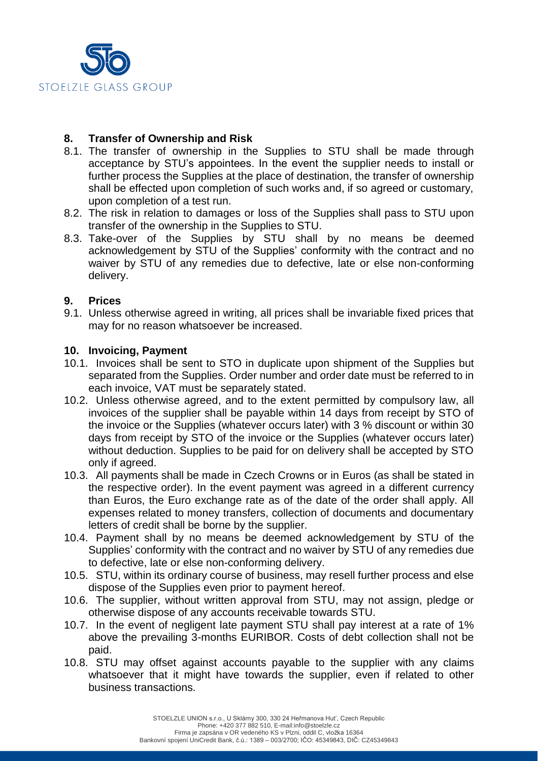

# **8. Transfer of Ownership and Risk**

- 8.1. The transfer of ownership in the Supplies to STU shall be made through acceptance by STU's appointees. In the event the supplier needs to install or further process the Supplies at the place of destination, the transfer of ownership shall be effected upon completion of such works and, if so agreed or customary, upon completion of a test run.
- 8.2. The risk in relation to damages or loss of the Supplies shall pass to STU upon transfer of the ownership in the Supplies to STU.
- 8.3. Take-over of the Supplies by STU shall by no means be deemed acknowledgement by STU of the Supplies' conformity with the contract and no waiver by STU of any remedies due to defective, late or else non-conforming delivery.

### **9. Prices**

9.1. Unless otherwise agreed in writing, all prices shall be invariable fixed prices that may for no reason whatsoever be increased.

### **10. Invoicing, Payment**

- 10.1. Invoices shall be sent to STO in duplicate upon shipment of the Supplies but separated from the Supplies. Order number and order date must be referred to in each invoice, VAT must be separately stated.
- 10.2. Unless otherwise agreed, and to the extent permitted by compulsory law, all invoices of the supplier shall be payable within 14 days from receipt by STO of the invoice or the Supplies (whatever occurs later) with 3 % discount or within 30 days from receipt by STO of the invoice or the Supplies (whatever occurs later) without deduction. Supplies to be paid for on delivery shall be accepted by STO only if agreed.
- 10.3. All payments shall be made in Czech Crowns or in Euros (as shall be stated in the respective order). In the event payment was agreed in a different currency than Euros, the Euro exchange rate as of the date of the order shall apply. All expenses related to money transfers, collection of documents and documentary letters of credit shall be borne by the supplier.
- 10.4. Payment shall by no means be deemed acknowledgement by STU of the Supplies' conformity with the contract and no waiver by STU of any remedies due to defective, late or else non-conforming delivery.
- 10.5. STU, within its ordinary course of business, may resell further process and else dispose of the Supplies even prior to payment hereof.
- 10.6. The supplier, without written approval from STU, may not assign, pledge or otherwise dispose of any accounts receivable towards STU.
- 10.7. In the event of negligent late payment STU shall pay interest at a rate of 1% above the prevailing 3-months EURIBOR. Costs of debt collection shall not be paid.
- 10.8. STU may offset against accounts payable to the supplier with any claims whatsoever that it might have towards the supplier, even if related to other business transactions.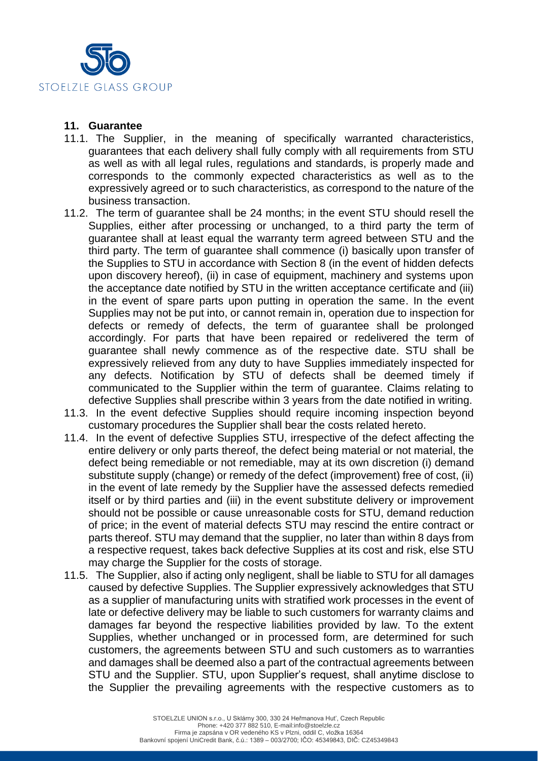

#### **11. Guarantee**

- 11.1. The Supplier, in the meaning of specifically warranted characteristics, guarantees that each delivery shall fully comply with all requirements from STU as well as with all legal rules, regulations and standards, is properly made and corresponds to the commonly expected characteristics as well as to the expressively agreed or to such characteristics, as correspond to the nature of the business transaction.
- 11.2. The term of guarantee shall be 24 months; in the event STU should resell the Supplies, either after processing or unchanged, to a third party the term of guarantee shall at least equal the warranty term agreed between STU and the third party. The term of guarantee shall commence (i) basically upon transfer of the Supplies to STU in accordance with Section 8 (in the event of hidden defects upon discovery hereof), (ii) in case of equipment, machinery and systems upon the acceptance date notified by STU in the written acceptance certificate and (iii) in the event of spare parts upon putting in operation the same. In the event Supplies may not be put into, or cannot remain in, operation due to inspection for defects or remedy of defects, the term of guarantee shall be prolonged accordingly. For parts that have been repaired or redelivered the term of guarantee shall newly commence as of the respective date. STU shall be expressively relieved from any duty to have Supplies immediately inspected for any defects. Notification by STU of defects shall be deemed timely if communicated to the Supplier within the term of guarantee. Claims relating to defective Supplies shall prescribe within 3 years from the date notified in writing.
- 11.3. In the event defective Supplies should require incoming inspection beyond customary procedures the Supplier shall bear the costs related hereto.
- 11.4. In the event of defective Supplies STU, irrespective of the defect affecting the entire delivery or only parts thereof, the defect being material or not material, the defect being remediable or not remediable, may at its own discretion (i) demand substitute supply (change) or remedy of the defect (improvement) free of cost, (ii) in the event of late remedy by the Supplier have the assessed defects remedied itself or by third parties and (iii) in the event substitute delivery or improvement should not be possible or cause unreasonable costs for STU, demand reduction of price; in the event of material defects STU may rescind the entire contract or parts thereof. STU may demand that the supplier, no later than within 8 days from a respective request, takes back defective Supplies at its cost and risk, else STU may charge the Supplier for the costs of storage.
- 11.5. The Supplier, also if acting only negligent, shall be liable to STU for all damages caused by defective Supplies. The Supplier expressively acknowledges that STU as a supplier of manufacturing units with stratified work processes in the event of late or defective delivery may be liable to such customers for warranty claims and damages far beyond the respective liabilities provided by law. To the extent Supplies, whether unchanged or in processed form, are determined for such customers, the agreements between STU and such customers as to warranties and damages shall be deemed also a part of the contractual agreements between STU and the Supplier. STU, upon Supplier's request, shall anytime disclose to the Supplier the prevailing agreements with the respective customers as to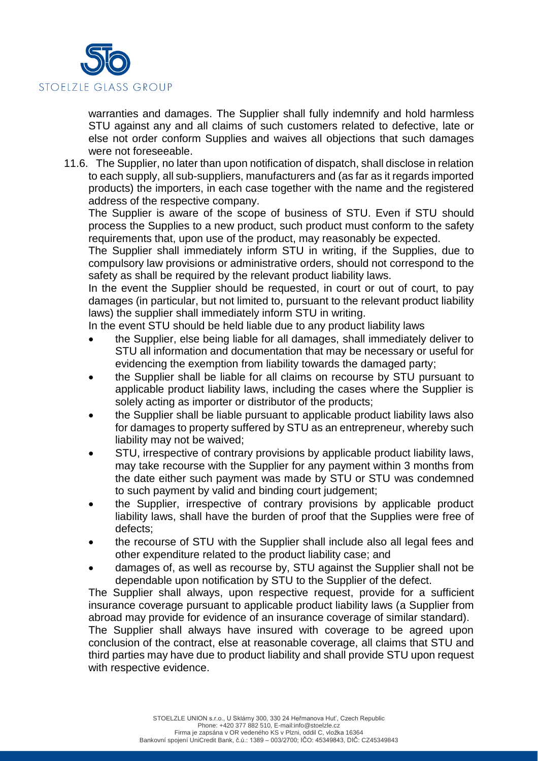

warranties and damages. The Supplier shall fully indemnify and hold harmless STU against any and all claims of such customers related to defective, late or else not order conform Supplies and waives all objections that such damages were not foreseeable.

11.6. The Supplier, no later than upon notification of dispatch, shall disclose in relation to each supply, all sub-suppliers, manufacturers and (as far as it regards imported products) the importers, in each case together with the name and the registered address of the respective company.

The Supplier is aware of the scope of business of STU. Even if STU should process the Supplies to a new product, such product must conform to the safety requirements that, upon use of the product, may reasonably be expected.

The Supplier shall immediately inform STU in writing, if the Supplies, due to compulsory law provisions or administrative orders, should not correspond to the safety as shall be required by the relevant product liability laws.

In the event the Supplier should be requested, in court or out of court, to pay damages (in particular, but not limited to, pursuant to the relevant product liability laws) the supplier shall immediately inform STU in writing.

In the event STU should be held liable due to any product liability laws

- the Supplier, else being liable for all damages, shall immediately deliver to STU all information and documentation that may be necessary or useful for evidencing the exemption from liability towards the damaged party;
- the Supplier shall be liable for all claims on recourse by STU pursuant to applicable product liability laws, including the cases where the Supplier is solely acting as importer or distributor of the products;
- the Supplier shall be liable pursuant to applicable product liability laws also for damages to property suffered by STU as an entrepreneur, whereby such liability may not be waived;
- STU, irrespective of contrary provisions by applicable product liability laws, may take recourse with the Supplier for any payment within 3 months from the date either such payment was made by STU or STU was condemned to such payment by valid and binding court judgement;
- the Supplier, irrespective of contrary provisions by applicable product liability laws, shall have the burden of proof that the Supplies were free of defects;
- the recourse of STU with the Supplier shall include also all legal fees and other expenditure related to the product liability case; and
- damages of, as well as recourse by, STU against the Supplier shall not be dependable upon notification by STU to the Supplier of the defect.

The Supplier shall always, upon respective request, provide for a sufficient insurance coverage pursuant to applicable product liability laws (a Supplier from abroad may provide for evidence of an insurance coverage of similar standard).

The Supplier shall always have insured with coverage to be agreed upon conclusion of the contract, else at reasonable coverage, all claims that STU and third parties may have due to product liability and shall provide STU upon request with respective evidence.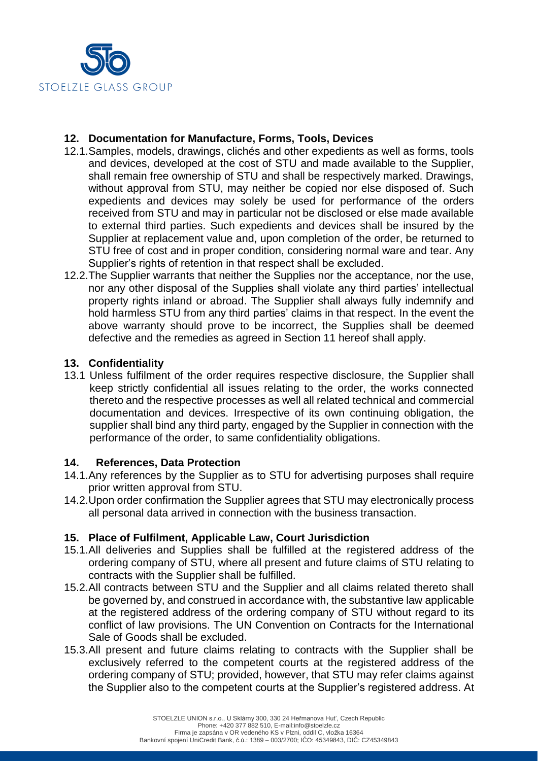

## **12. Documentation for Manufacture, Forms, Tools, Devices**

- 12.1.Samples, models, drawings, clichés and other expedients as well as forms, tools and devices, developed at the cost of STU and made available to the Supplier, shall remain free ownership of STU and shall be respectively marked. Drawings, without approval from STU, may neither be copied nor else disposed of. Such expedients and devices may solely be used for performance of the orders received from STU and may in particular not be disclosed or else made available to external third parties. Such expedients and devices shall be insured by the Supplier at replacement value and, upon completion of the order, be returned to STU free of cost and in proper condition, considering normal ware and tear. Any Supplier's rights of retention in that respect shall be excluded.
- 12.2.The Supplier warrants that neither the Supplies nor the acceptance, nor the use, nor any other disposal of the Supplies shall violate any third parties' intellectual property rights inland or abroad. The Supplier shall always fully indemnify and hold harmless STU from any third parties' claims in that respect. In the event the above warranty should prove to be incorrect, the Supplies shall be deemed defective and the remedies as agreed in Section 11 hereof shall apply.

### **13. Confidentiality**

13.1 Unless fulfilment of the order requires respective disclosure, the Supplier shall keep strictly confidential all issues relating to the order, the works connected thereto and the respective processes as well all related technical and commercial documentation and devices. Irrespective of its own continuing obligation, the supplier shall bind any third party, engaged by the Supplier in connection with the performance of the order, to same confidentiality obligations.

### **14. References, Data Protection**

- 14.1.Any references by the Supplier as to STU for advertising purposes shall require prior written approval from STU.
- 14.2.Upon order confirmation the Supplier agrees that STU may electronically process all personal data arrived in connection with the business transaction.

# **15. Place of Fulfilment, Applicable Law, Court Jurisdiction**

- 15.1.All deliveries and Supplies shall be fulfilled at the registered address of the ordering company of STU, where all present and future claims of STU relating to contracts with the Supplier shall be fulfilled.
- 15.2.All contracts between STU and the Supplier and all claims related thereto shall be governed by, and construed in accordance with, the substantive law applicable at the registered address of the ordering company of STU without regard to its conflict of law provisions. The UN Convention on Contracts for the International Sale of Goods shall be excluded.
- 15.3.All present and future claims relating to contracts with the Supplier shall be exclusively referred to the competent courts at the registered address of the ordering company of STU; provided, however, that STU may refer claims against the Supplier also to the competent courts at the Supplier's registered address. At